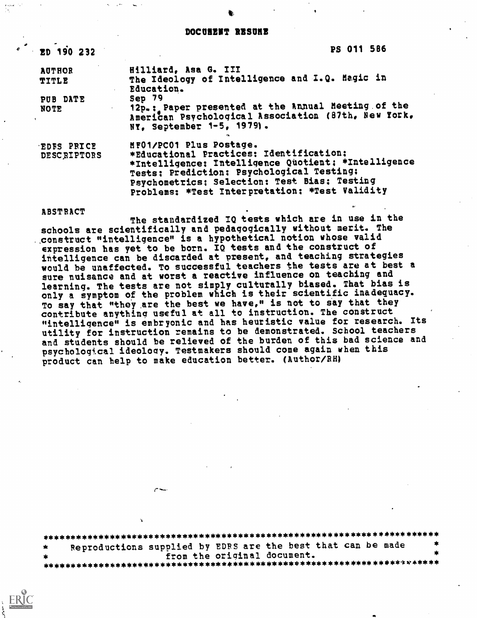# DOCUSENT RESUME

| PS 011 586                                                                                                                                            |
|-------------------------------------------------------------------------------------------------------------------------------------------------------|
|                                                                                                                                                       |
| The Ideology of Intelligence and I.Q. Magic in                                                                                                        |
|                                                                                                                                                       |
| 12p.: Paper presented at the Annual Meeting of the<br>American Psychological Association (87th, New York,                                             |
|                                                                                                                                                       |
|                                                                                                                                                       |
| *Intelligence: Intelligence Quotient: *Intelligence<br>Psychometrics; Selection: Test Bias; Testing<br>Problems: *Test Interpretation: *Test Validity |
|                                                                                                                                                       |

# **ABSTRACT**

The standardized IQ tests which are in use in the schools are scientifically and pedagogically without merit. The construct "intelligence" is a hypothetical notion whose valid expression has yet to be born. IQ tests and the construct of intelligence can be discarded at present, and teaching strategies would be unaffected. To successful teachers the tests are at best a sure nuisance and at worst a reactive influence on teaching and learning. The tests are not simply culturally biased. That bias is only a symptom of the problem which is their scientific inadequacy. To say that "they are the best we have," is not to say that they contribute anything useful at all to instruction. The construct "intelligence" is embryonic and has heuristic value for research. Its utility for instruction remains to be demonstrated. School teachers and students should be relieved of the burden of this bad science and psychological ideology. Testmakers should come again when this product can help to make education better. (Author/RH)

| $\mathbf{r}$ | Reproductions supplied by EDRS are the best that can be made |  |                             |  |  |  |  |  | - 240 |  |
|--------------|--------------------------------------------------------------|--|-----------------------------|--|--|--|--|--|-------|--|
|              |                                                              |  | from the original document. |  |  |  |  |  |       |  |
|              |                                                              |  |                             |  |  |  |  |  |       |  |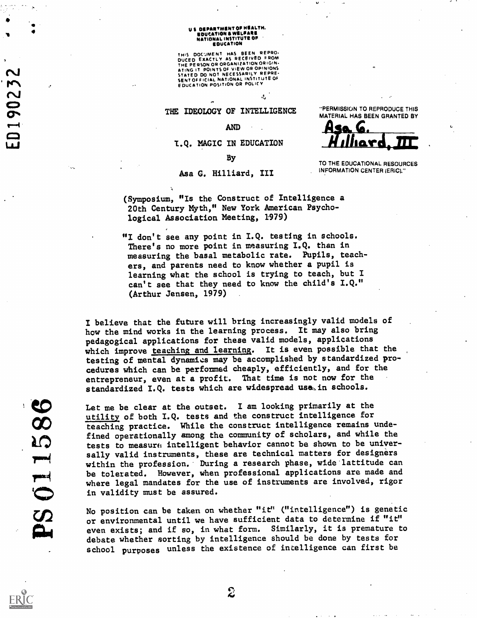# U S. DEPARTMENT OF HEALTH.<br>EDUCATION & WELFARE<br>NATIONAL INSTITUTE OF EDUCATION

THIS DOCUMENT HAS BEEN REPRO.<br>DUCED EXACTLY AS RECEIVED FROM THE PERSON OR ORGANIZATION ORIGIN-ATING IT POINTS OF VIEW OR OPINIONS<br>STATED DO NOT NECESSARILY REPRE-<br>SENT OFFICIAL NATIONAL INSTITUTE OF EDUCATION POSiTiON OR POLICY

#### THE IDEOLOGY OF INTELLIGENCE

### AND

5.

## I.Q. MAGIC IN EDUCATION

#### By

#### Asa G. Hilliard, III

-PERMISSION TO REPRODUCE THIS MATERIAL HAS BEEN GRANTED BY

Hilliard, TIL

TO THE EDUCATIONAL RESOURCES INFORMATION CENTER (EPIC)."

(Symposium, "Is the Construct of Intelligence a 20th Century Myth," New York American Psychological Association Meeting, 1979)

"I don't see any point in I.Q. testing in schools. There's no more point in measuring I.Q. than in measuring the basal metabolic rate. Pupils, teachers, and parents need to know whether a pupil is learning what the school is trying to teach, but I can't see that they need to know the child's I.Q." (Arthur Jensen, 1979)

I believe that the future will bring increasingly valid models of how the mind works in the learning process. It may also bring pedagogical applications for these valid models, applications which improve teaching and learning. It is even possible that the testing of mental dynamics may be accomplished by standardized procedures which can be perfommed Cheaply, efficiently, and for the entrepreneur, even at a profit. That time is not now for the standardized I.Q. tests which are widespread use, in schools.

Let me be clear at the outset. I am looking primarily at the utility of both I.Q. tests and the construct intelligence for teaching practice. While the construct intelligence remains undefined operationally among the community of scholars, and while the tests to measura intelligent behavior cannot be shown to be universally valid instruments, these are technical matters for designers within ehe profession. During a research phase, wide lattitude can be toletated. However, when professional applications are made and where legal mandates for the use of instruments are involved, rigor in validity must be assured.

No position can be taken on whether "it" ("intelligence") is genetic or environmental until we have sufficient data to determine if "it" even exists; and if so, in what form. Similarly, it is premature to debate whether sorting by intelligence should be done by tests for school purposes unless the existence of intelligence can first be

88 PS 0115

ED19023

ၟ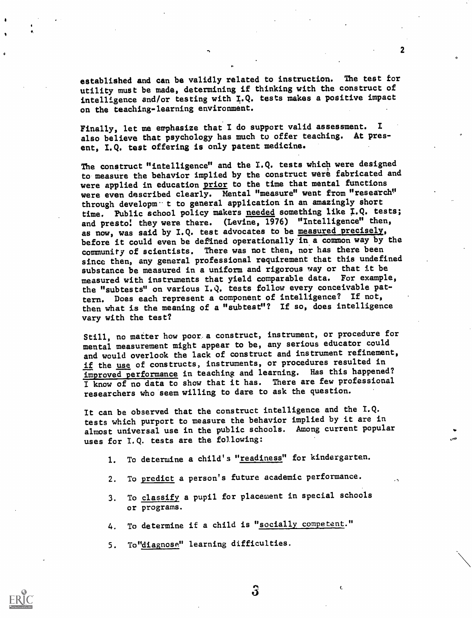established and can be validly related to instruction. The test for utility must be made, determining if thinking with the construct of intelligence and/or testing with I.Q. tests makes a positive impact on the teaching-learning environment.

 $\mathbf{z}$  and  $\mathbf{z}$ 

Finally, let me emphasize that I do support valid assessment. I also believe that psychology has much to offer teaching. At present, I.Q. test offering is only patent medicine.

The construct "intelligence" and the I.Q. tests which were designed to measure the behavior implied by the construct were fabricated and were applied in education prior to the time that mental functions were even described clearly. Mental "measure" went from "research" through developm t to general application in an amazingly short time. Public school policy makers needed something like I.Q. tests, and presto! they were there. (Levine, 1976) "Intelligence" then, as now, WAS said by I.Q. test advocates to be measured precisely, before it could even be defined operationally in a common way by the community of scientists. There was not then, nor has there been since then, any general professional requirement that this undefined substance be measured in a uniform and rigorous way or that it be measured with instruments that yield comparable data. For example, the "subtests" on various I.Q. tests follow every conceivable pattern. Does each represent a component of intelligence? If not, then what is the meaning of a "subtest"? If so, does intelligence vary with the test?

Still, no matter how poor a construct, instrument, or procedure for mental measurement might appear to be, any serious educator could and would overlook the lack of construct and instrument refinement, if the use of constructs, instruments, or procedures resulted in improved performance in teaching and learning. Has this happened? I know of no data to show that it has. There are few professional researchers who seem willing to dare to ask the question.

It can be observed that the construct intelligence and the I.Q. tests which purport to measure the behavior implied by it are in almost universal use in the public schools. Among current popular uses for I.Q. tests are the following:

- 1. To determine a child's "readiness" for kindergarten.
- 2. To predict a person's future academic performance.
- 3. To classify a pupil for placement in special schools or programs.
- 4. To determine if a child is "socially competent."
- 5. To"diagnose" learning difficulties.



 $\hat{\bm{3}}$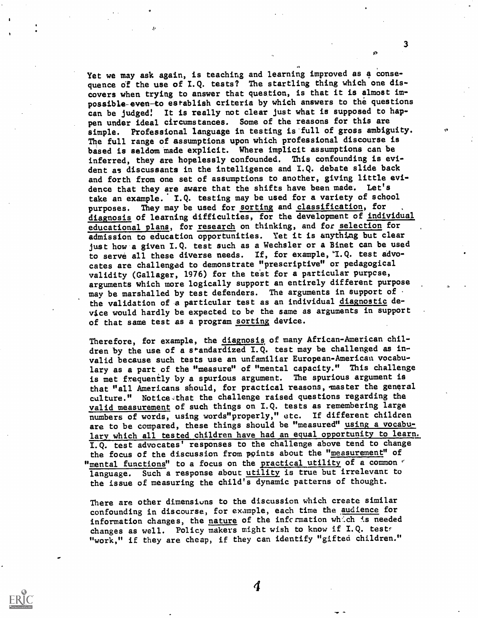Yet we may ask again, is teaching and learning improved as a consequence of the use of I.Q. tests? The startling thing which one discovers when trying to answer that question, is that it is almost impossible-even-to establish criteria by which answers to the questions can be judged! It is really not clear just what is supposed to happen under ideal circumstances. Some of the reasons for this are simple. Professional language in testing is full of gross ambiguity. The full range of assumptions upon which professional discourse is based is seldom made explicit. Where implicit assumptions can be inferred, they are hopelessly confounded. This confounding is evident as discussants in the intelligence and I.Q. debate slide back and forth from one set of assumptions to another, giving little evidence that they are aware that the shifts have been made. Let's take an example. I.Q. testing may be used for a variety of school purposes. They may be used for sorting and classification, for diagnosis of learning difficulties, for the development of individual educational plans, for research on thinking, and for selection for admission to education opportunities. Yet it is anything but clear just how a given I.Q. test such as a Wechsler or a Binet can be used to serve all these diverse needs. If, for example,°I.Q. test advocates are challenged to demonstrate "prescriptive" or pedagogical validity (Gallager, 1976) for the test for a particular purpcse, arguments which more logically support an entirely different purpose may be marshalled by test defenders. The arguments in support of  $\cdot$ the validation of a particular test as an individual diagnostic device would hardly be expected to be the same as arguments in support of that same test as a program sorting device.

3

Therefore, for example, the diagnosis of many African-American children by the use of a standardized I.Q. test may be challenged as invalid because such tests use an unfamiliar European-American vocabulary as a part of the "measure" of "mental capacity." This challenge is met frequently by a spurious argument. The spurious argument is that "all Americans should, for practical reasons, master the general culture." Notice that the challenge raised questions regarding the valid measurement of such things on I.Q. tests as remembering large numbers of words, using words"properly," etc. If different children are to be compared, these things should be "measured" using a vocabulary which all tested children have had an equal opportunity to learn. I.Q. test advocates' responses to the challenge above tend to change the focus of the discussion from points about the "measurement" of "mental functions" to a focus on the practical utility of a common  $\epsilon$ language. Such a response about utility is true but irrelevant to the issue of measuring the child's dynamic patterns of thought.

There are other dimensiuns to the discussion which create similar confounding in discourse, for example, each time the audience for information changes, the nature of the information which is needed changes as well. Policy makers might wish to know if I.Q. tests "work," if they are cheap, if they can identify "gifted children."

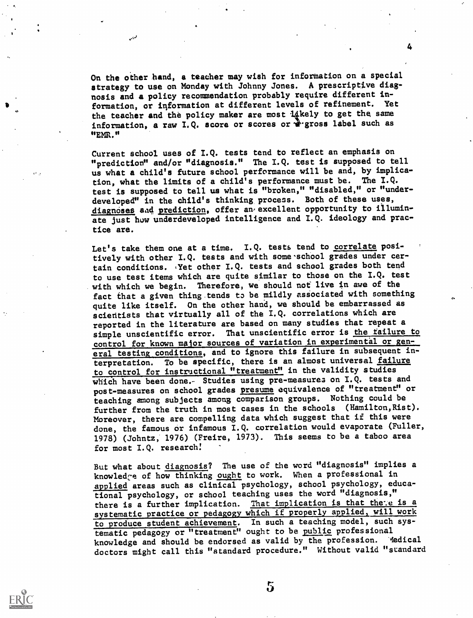4

On the other hand, a teacher may wish for information on a special strategy to use on Monday with Johnny Jones. A prescriptive diagnosis and a policy recommendation probably require different information, or information at different levels of refinement. Yet the teacher and the policy maker are most likely to get the same information, a raw I.Q. score or scores or  $\mathcal{X}$  gross label such as "EMR. "

 $\sim$ 

Current school uses of I.Q. tests tend to reflect an emphasis on "prediction" and/or "diagnosis." The I.Q. test is supposed to tell us what a child's future school performance will be and, by tmplication, what the limits of a child's performance must be. The I.Q. test is supposed to tall us what is "broken," "disabled," or "underdeveloped" in the child's thinking process. Both of these uses, diagnoses and prediction, offer an excellent opportunity to illuminate just how underdeveloped intelligence and I.Q. ideology and practice are.

Let's take them one at a time. I.Q. tests tend to correlate positively with other I.Q. tests and with some-school grades under certain conditions. Yet other I.Q. tests and school grades both tend to use test items which are quite similar to those on the I.Q. test with which we begin. Therefore, we should not live in awe of the fact that a given thing tends to be mildly associated with something quite like itself. On the other hand, we should be embarrassed as scientists that virtually all of the I.Q. correlations which are reported in the literature are based on many studies that repeat a simple unscientific error. That unscientific error is the failure to control for known major sources of variation in experimental or general testing conditions, and to ignore this failure in subsequent interpretation. To be specific, there is an almost universal failure to control for instructional "treatment" in the validity studies which have been done.- Studies using pre-measures on I.Q. tests and post-measures on school grades presume equivalence of "treatment" or teaching among subjects among comparison groups. Nothing could be further from the truth in most cases in the schools (Hamilton, Rist). Moreover, there are compelling data which suggest that if this were done, the famous or infamous I.Q. correlation would evaporate (Fuller, 1978) (Johntz, 1976) (Freire, 1973). This seems to be a taboo area for most I.Q. research!

But what about diagnosis? The use of the word "diagnosis" implies a knowledre of how thinking ought to work. When a professional in applied areas such as clinical psychology, school psychology, educational psychology, or school teaching uses the word "diagnosis," there is a further implication. That implication is that the e is a systematic practice or pedagogy which if properly applied, will work to produce student achievement. In such a teaching model, such systematic pedagogy or "treatment" ought to be public professional knowledge and should be endorsed as valid by the profession. Medical doctors might call this "standard procedure." Without valid "standard

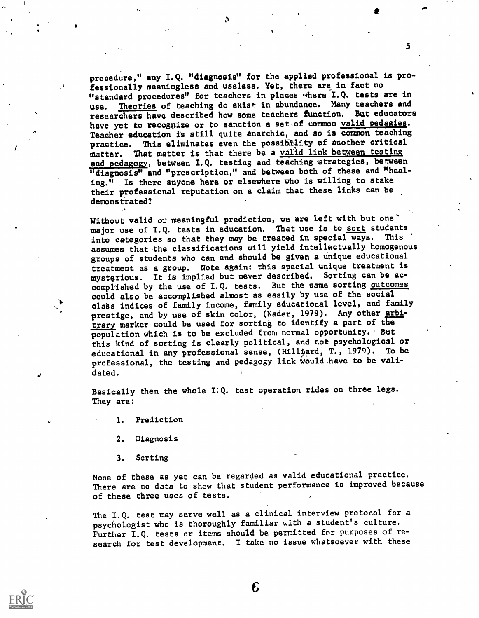procedure," any I.Q. "diagnosis" for the applied professional is professionally meaningless and useless. Yet, there are in fact no "standard procedures" for teachers in places where I.Q. tests are in use. Theories of teaching do exist in abundance. Many teachers and researchers have described how some teachers function. But educators have yet to recognize or to sanction a set of common valid pedagies. Teacher education is still quite anarchic, and so is common teaching practice. This eliminates even the possibility of another critical matter. That matter is that there be a valid link between testing and pedagogy, between I.Q. testing and teaching strategies, between "diagnosis" and "prescription," and between both of these and "healing." Is there anyone here or elsewhere who is willing to stake their professional reputation on a claim that these links can be demonstrated?

Without valid or meaningful prediction, we are left with but one" major use of I.Q. tests in education. That use is to sort students into categories so that they may be treated in special ways. This assumes that the classifications will yield intellectually homogenous groups of students who can and should be given a unique educational treatment as a group. Note again: this special unique treatment is mysterious. It is implied but never described. Sorting can be accomplished by the use of I.Q. tests. But the same sorting outcomes could also be accomplished almost as easily by use of the social class indices of family income, family educational level, and family prestige, and by use of skin color, (Nader, 1979). Any other arbitrary marker could be used for sorting to identify a part of the population which is to be excluded from normal opportunity. Bht this kind of sorting is clearly political, and not psychological or educational in any professional sense, (Hilliard, T., 1979). To be professional, the testing and pedagogy link would have to be validated.

Basically then the whole I.Q. test operation rides on three legs. They are:

1. Prediction

 $\sim$ 

 $\sigma$ 

2. Diagnosis

3. Sorting

None of these as yet can be regarded as valid educational practice. There are no data to show that student performance is improved because of these three uses of tests.

The I.Q. test may serve well as a clinical interview protocol for a psychologist who is thoroughly familiar with a student's culture. Further I.Q. tests or items should be permitted for purposes of research for test development. I take no issue whatsoever with these

 $\epsilon$ 

. The contract of the contract of the contract of the contract of the contract of the contract of the contract of the contract of the contract of the contract of the contract of the contract of the contract of the contrac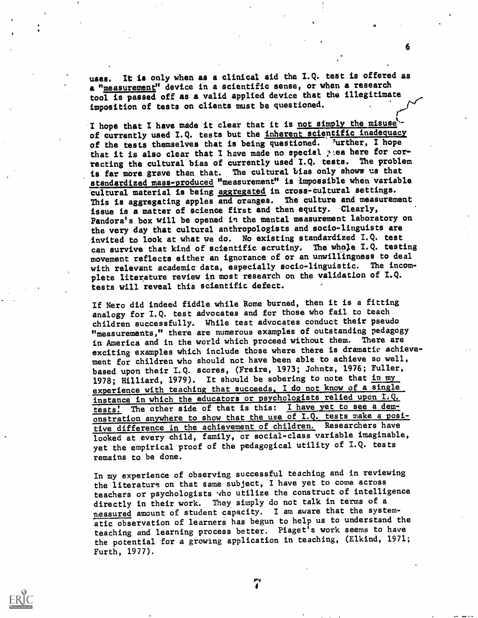uses. It is only when as a clinical aid the I.Q. test is offered as a "measurement" device in a scientific sense, or when a research tool is passed off as a valid applied device that the illegitimate imposition of tests on clients must be questioned.

4

6

I hope that I have made it clear that it is not simply the misuse of currently used I.Q. tests but the inherent scientific inadequacy of the tests themselves that is being questioned. Further, I hope that it is also clear that I have made no special sea here for correcting the cultural bias of currently used I.Q. tests. The problem is far more grave than that. The cultural bias only showy us that standardized mass-produced "measurement" is impossible when variable 'cultural material is being aggregated in cross-cultural settings. This is aggregating apples and oranges. The culture and measurement issue is a matter of science first and then equity. Clearly, Pandora's box will be opened in the mental measurement laboratory on the very day that cultural anthropologists and socio-linguists are invited to look at what we do. No existing standardized I.Q. test can survive that kind of scientific scrutiny. The whole I.Q. testing movement reflects either an ignorance of or an unwillingness to deal with relevant academic data, especially socio-linguistic. The incomplete literature review in most research on the validation of I.Q. tests will reveal this scientific defect.

If Nero did indeed fiddle while Rome burned, then it is a fitting analogy for I.Q. test advocates and for those who fail to teach children successfully. While test advocates conduct their pseudo "measurements," there are numerous examples of outstanding pedagogy in America and in the world which proceed without them. There are exciting examples which include those where there is dramatic achievement for children who should not have been able to achieve so well, based upon their I.Q. scores, (Freire, 1973; Johntz, 1976; Fuller, 1978; Hilliard, 1979). It should be sobering to note that in my experience with teaching that succeeds, I do not know of a single instance in which the educators or psychologists relied upon I.Q. tests! The other side of that is this: I have yet to see a demonstration anywhere to show that the use of I.Q. tests make a positive difference in the achievement of children. Researchers have looked at every child, family, or social-class variable imaginable, yet the empirical proof of the pedagogical utility of I.Q. tests remains to be done.

In my experience of observing successful teaching and in reviewing the literature on that same subject, I have yet to come across teachers or psychologists who utilize the construct of intelligence directly in their work. They simply do not talk in terms of a measured amount of student capacity. I am aware that the systematic observation of learners has begun to help us to understand the teaching and learning process better. Piaget's work seems to have the potential for a growing application in teaching, (Elkind, 1971; Furth, 1977).



 $\mathbf{r}$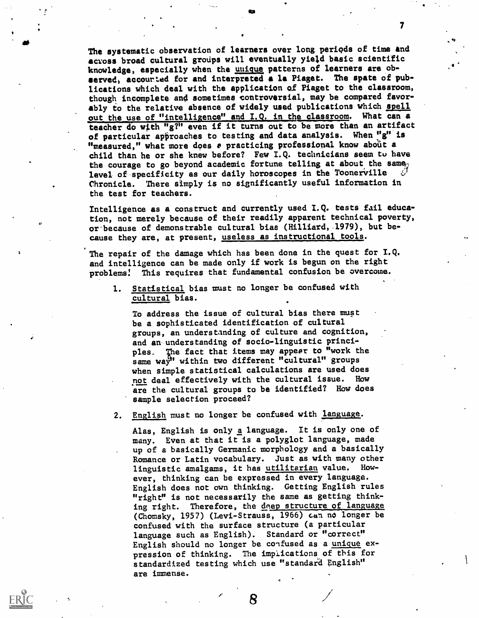The systematic observation of learners over long periods of time and across broad cultural groups will eventually yield basic scientific knowledge, especially when the unique patterns of learners are observed, accourted for and interpreted a la Piaget. The spate of publications which deal with the application of Piaget to the classroom, though incomplete and sometimes controversial, may be compared favorably to the relative absence of widely used publications which spell out the use of "intelligence" and I.Q. in the classroom. What can a teacher do with "g?' even if it turns out to be more than an artifact of particular approaches to testing and data analysis. When "g" is "measured," what more does a practicing professional know about a child than he or she knew before? Few I.Q. technicians seem tu have the courage to go beyond academic fortune telling at about the same, level of specificity as our daily horoscopes in the Toonerville Chronicle. There simply is no significantly useful information in the test for teachers.

dia kaominina mpikambana amin'ny fivondronan-kaominin'i Europe de La

Intelligence as a construct and currently used I.Q. tests fail education, not merely because of their readily apparent technical poverty, or.because of demonstrable cultural bias (Hilliard,,1979), but because they are, at present, useless as instructional tools.

The repair of the damage which has been done in the quest for I.Q. and intelligence can be made only if work is begun on the right problems! This requires that fundamental confusion be overcome.

1. Statistical bias must no longer be confused with cultural bias.

To address the issue of cultural bias there must be a sophisticated identification of cultural groups, an understanding of culture and cognition, and an understanding of socio-linguistic principles. The fact that items may appear to "work the same way" within two different "cultural" groups when simple statistical calculations are used does not deal effectively with the cultural issue. How are the cultural groups to be identified? How does sample selection proceed?

2. English must no longer be confused with language.

Alas, English is only a language. It is only one of many. Even at that it is a polyglot language, made up of a basically Germanic morphology and a basically Romance or Latin vocabulary. Just as with many other linguistic amalgams, it has utilitarian value. However, thinking can be expressed in every language. English does not own thinking. Getting English rules "right" is not necessarily the same as getting thinking right. Therefore, the deep structure of language (Chomsky, 1957) (Levi-Strauss, 1966) can no longer be confused with the surface structure (a particular language such as English). Standard or "correct" English should no longer be confused as a unique expression of thinking. The implications of this for standardized testing which use "standard English" are immense.

R

 $\mathbf{r}$  and  $\mathbf{r}$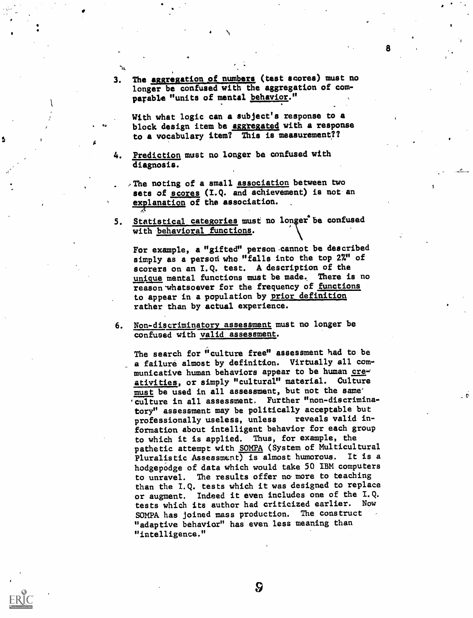- 3. The aggregation of numbers (test scores) must no longer be confused with the aggregation of comparable "units of mental behavior."
	- With what logic can a subject's response to a block design item be aggregated with a response to a vocabulary item? This is measurement??
- 4. Prediction must no longer be confused with diagnosis.
	- The noting of a small association between two sets of scores (I.Q. and achievement) is not an explanation of the association.
- 5. Statistical categories must no longer be confused with behavioral functions. with behavioral functions.

For example, a "gifted" person.cannot be described simply as a person who "falls into the top 2%" of scorers on an I.Q. test. A description of the unique mental functions must be made. There is no reason'whatsoever for the frequency of functions to appear in a population by prior definition rather than by actual experience.

6. Non-discriminatory assessment must no longer be confused with valid assessment.

The search for "culture free" assessment had to be a failure almost by definition. Virtually all communicative human behaviors appear to be human creativities, or simply "cultural" material. Culture must be used in all assessment, but not the same' 'culture in all assessment. Further "non-discriminatory" assessment may be politically acceptable but professionally useless, unless formation about intelligent behavior for each group to which it is applied. Thus, for example, the pathetic attempt with SOMPA (System of Multicultural Pluralistic Assessment) is almost humorous. It is a hodgepodge of data which would take 50 IBM computers to unravel. The results offer no more to teaching than the I.Q. tests which it was designed to replace or augment. Indeed it even includes one of the I.Q. tests which its author had criticized earlier. Now SOMPA has joined mass production. The construct "adaptive behavior" has even less meaning than "intelligence."

<u>Ş</u>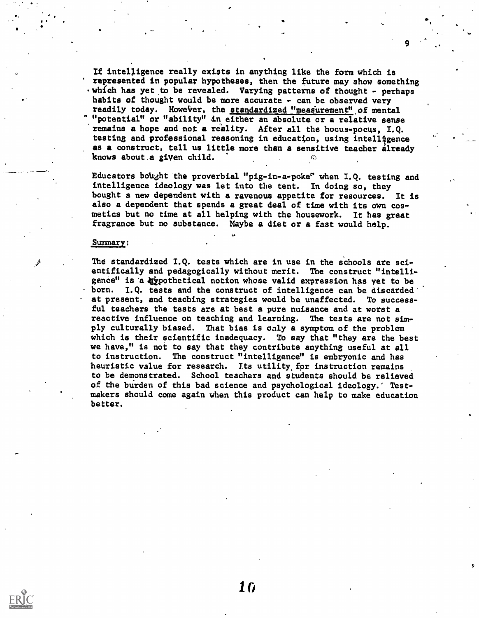If intelligence really exists in anything like the form which is represented in popular hypotheses, then the future may show something  $\cdot$  which has yet to be revealed. Varying patterns of thought - perhaps habits of thought would be more accurate - can be observed very readily today. However, the standardized "measurement" of mental " "potential" or "ability" in either an absolute or a relative sense remains a hope and not a reality. After all the hocus-pocus, I.Q. testing and professional reasoning in education, using intelligence as a construct, tell us little more than a sensitive teacher already knows about.a given child.

Educators bolight the proverbial "pig-in-a-poke" when I.Q. testing and intelligence ideology was let into the tent. In doing so, they bought a new dependent with a ravenous appetite for resources. It is also a dependent that spends a great deal of time with its own cosmetics but no time at all helping with the housework. It has great fragrance but no substance. Maybe a diet or a fast would help.

#### Summary:

The standardized I.Q. tests which are in use in the schools are scientifically and pedagogically without merit. The construct "intelligence" is a *dypothetical* notion whose valid expression has yet to be born. I.Q. tests and the construct of intelligence can be discarded' at present, and teaching strategies would be unaffected. To successful teachers the tests are at best a pure nuisance and at worst a reactive influence on teaching and learning. The tests are not simply culturally biased. That bias is only a symptom of the problem which is their scientific inadequacy. To say that "they are the best we have," is not to say that they contribute anything useful at all to instruction. The construct "intelligence" is embryonic and has heuristic value for research. Its utility,for instruction remains to be demonstrated. School teachers and students should be relieved of the burden of this bad science and psychological ideology.' Testmakers should come again when this product can help to make education better.

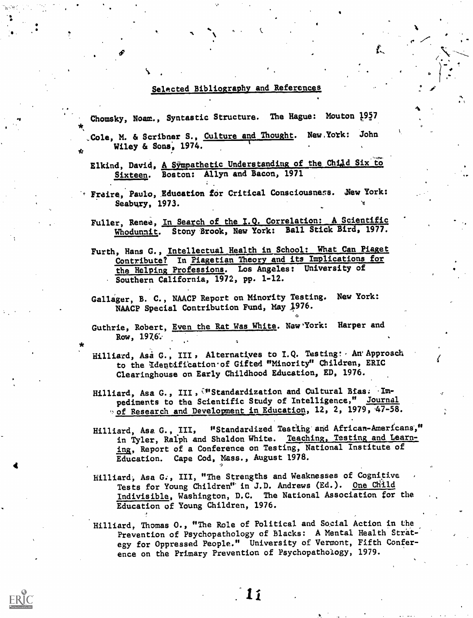# Selected Bibliography and References

Chomsky, Noam., Syntastic Structure. The Hague: Mouton 1957

- Elkind, David, A Sympathetic Understanding of the Child Six to Sixteen. Boston: Allyn and Bacon, 1971
- Fraire, Paulo, Education for Critical Consciousness. New York: Seabury, 1973.
- Fuller, Renee, In Search of the I.Q. Correlation: A Scientific Whodunnit. Stony Brook, New York: Ball Stick Bird, 1977.
- Furth, Hans G., Intellectual Health in School: What Can Piaget Contribute? In Piagetian Theory and its Implications for the Helping Professions. Los Angeles: University of Southern California, 1972, pp. 1-12.
- Gallager, B. C., NAACP Report on Minority Testing. New York: NAACP Special Contribution Fund, May 1976.
- Guthrie, Robert, Even the Rat Was White. New York: Harper and Row,  $1976.$

Hilliard, Asa G., III, Alternatives to I.Q. Testing: - An Approach to the Identification of Gifted "Minority" Children, ERIC Clearinghouse on Early Childhood Education, ED, 1976.

- Hilliard, Asa G., III, Wistandardization and Cultural Bias. Impediments to the Scientific Study of Intelligence," Journal of Research and Development in Education, 12, 2, 1979, 47-58.
- Hilliard, Asa G., III, "Standardized Testing and African-Americans," in Tyler, Ralph and Sheldon White. Teaching, Testing and Learning, Report of a Conference on Testing, National Institute of Education. Cape Cod, Mass., August 1978.
- Hilliard, Asa G., III, "The Strengths and Weaknesses of Cognitive Tests for Young Children" in J.D. Andrews (Ed.). One Child Indivisible, Washington, D.C. The National Association for the Education of Young Children, 1976.

Hilliard, Thomas O., "The Role of Political and Social Action in the Prevention of Psychopathology of Blacks: A Mental Health Strategy for Oppressed People." University of Vermont, Fifth Conference on the Primary Prevention of Psychopathology, 1979.



New York: John Cole, M. & Scribner S., Culture and Thought. Wiley & Sons, 1974.